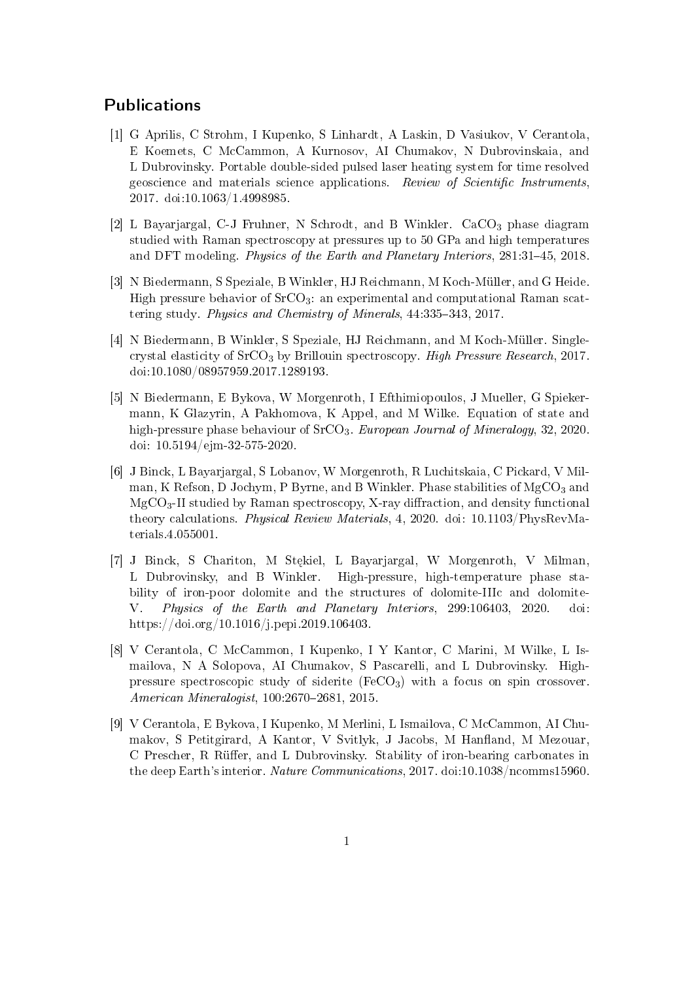## Publications

- [1] G Aprilis, C Strohm, I Kupenko, S Linhardt, A Laskin, D Vasiukov, V Cerantola, E Koemets, C McCammon, A Kurnosov, AI Chumakov, N Dubrovinskaia, and L Dubrovinsky. Portable double-sided pulsed laser heating system for time resolved geoscience and materials science applications. Review of Scientific Instruments, 2017. doi:10.1063/1.4998985.
- [2] L Bayarjargal, C-J Fruhner, N Schrodt, and B Winkler. CaCO<sub>3</sub> phase diagram studied with Raman spectroscopy at pressures up to 50 GPa and high temperatures and DFT modeling. *Physics of the Earth and Planetary Interiors*,  $281:31-45$ ,  $2018$ .
- [3] N Biedermann, S Speziale, B Winkler, HJ Reichmann, M Koch-Müller, and G Heide. High pressure behavior of SrCO<sub>3</sub>: an experimental and computational Raman scattering study. Physics and Chemistry of Minerals,  $44:335-343$ ,  $2017$ .
- [4] N Biedermann, B Winkler, S Speziale, HJ Reichmann, and M Koch-Müller. Singlecrystal elasticity of  $S<sub>rcO<sub>3</sub></sub>$  by Brillouin spectroscopy. High Pressure Research, 2017. doi:10.1080/08957959.2017.1289193.
- [5] N Biedermann, E Bykova, W Morgenroth, I Efthimiopoulos, J Mueller, G Spiekermann, K Glazyrin, A Pakhomova, K Appel, and M Wilke. Equation of state and high-pressure phase behaviour of SrCO<sub>3</sub>. European Journal of Mineralogy, 32, 2020. doi: 10.5194/ejm-32-575-2020.
- [6] J Binck, L Bayarjargal, S Lobanov, W Morgenroth, R Luchitskaia, C Pickard, V Milman, K Refson, D Jochym, P Byrne, and B Winkler. Phase stabilities of  $MgCO<sub>3</sub>$  and  $MgCO<sub>3</sub>-II$  studied by Raman spectroscopy, X-ray diffraction, and density functional theory calculations. Physical Review Materials, 4, 2020. doi: 10.1103/PhysRevMaterials.4.055001.
- [7] J Binck, S Chariton, M Stękiel, L Bayarjargal, W Morgenroth, V Milman, L Dubrovinsky, and B Winkler. High-pressure, high-temperature phase stability of iron-poor dolomite and the structures of dolomite-IIIc and dolomite-V. Physics of the Earth and Planetary Interiors, 299:106403, 2020. doi: https://doi.org/10.1016/j.pepi.2019.106403.
- [8] V Cerantola, C McCammon, I Kupenko, I Y Kantor, C Marini, M Wilke, L Ismailova, N A Solopova, AI Chumakov, S Pascarelli, and L Dubrovinsky. Highpressure spectroscopic study of siderite  $(FeCO<sub>3</sub>)$  with a focus on spin crossover.  $American$  Mineralogist, 100:2670-2681, 2015.
- [9] V Cerantola, E Bykova, I Kupenko, M Merlini, L Ismailova, C McCammon, AI Chumakov, S Petitgirard, A Kantor, V Svitlyk, J Jacobs, M Hanfland, M Mezouar, C Prescher, R Rüffer, and L Dubrovinsky. Stability of iron-bearing carbonates in the deep Earth's interior. Nature Communications, 2017. doi:10.1038/ncomms15960.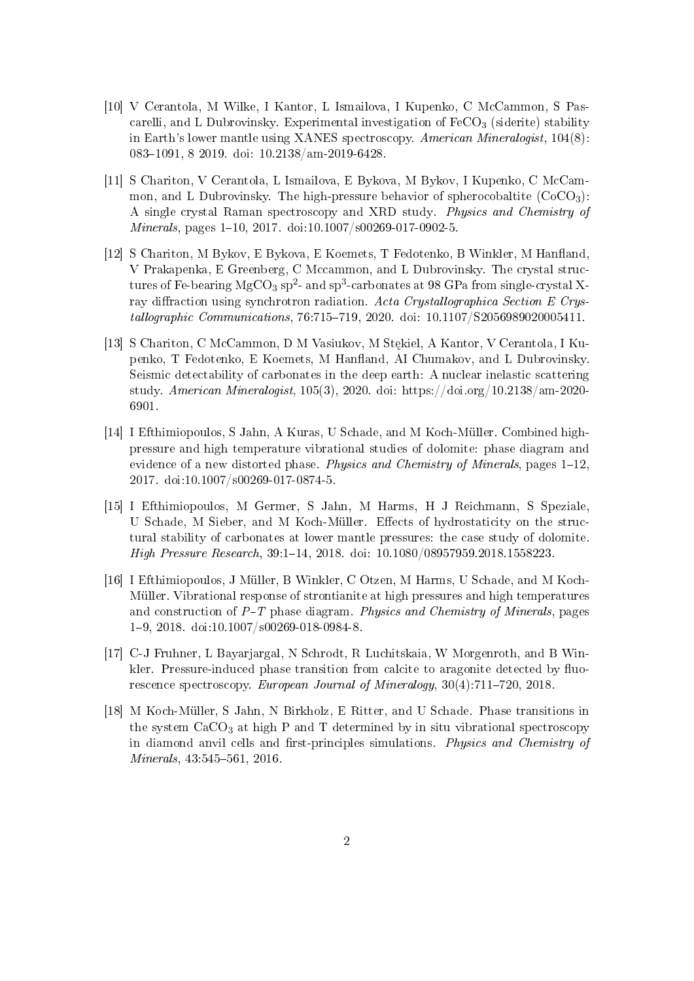- [10] V Cerantola, M Wilke, I Kantor, L Ismailova, I Kupenko, C McCammon, S Pascarelli, and L Dubrovinsky. Experimental investigation of  $FeCO<sub>3</sub>$  (siderite) stability in Earth's lower mantle using XANES spectroscopy. American Mineralogist, 104(8): 083-1091, 8 2019. doi: 10.2138/am-2019-6428.
- [11] S Chariton, V Cerantola, L Ismailova, E Bykova, M Bykov, I Kupenko, C McCammon, and L Dubrovinsky. The high-pressure behavior of spherocobaltite  $(CoCO<sub>3</sub>)$ : A single crystal Raman spectroscopy and XRD study. Physics and Chemistry of  $Minerals$ , pages 1-10, 2017. doi:10.1007/s00269-017-0902-5.
- [12] S Chariton, M Bykov, E Bykova, E Koemets, T Fedotenko, B Winkler, M Hanfland, V Prakapenka, E Greenberg, C Mccammon, and L Dubrovinsky. The crystal structures of Fe-bearing  $\rm MgCO_3$  sp<sup>2</sup>- and sp<sup>3</sup>-carbonates at 98 GPa from single-crystal Xray diffraction using synchrotron radiation. Acta Crystallographica Section E Crys $tallographic \textit{Communications}, 76:715-719, 2020. \textit{doi: } 10.1107/S2056989020005411.$
- [13] S Chariton, C McCammon, D M Vasiukov, M Stekiel, A Kantor, V Cerantola, I Kupenko, T Fedotenko, E Koemets, M Hanfland, AI Chumakov, and L Dubrovinsky. Seismic detectability of carbonates in the deep earth: A nuclear inelastic scattering study. American Mineralogist, 105(3), 2020. doi: https://doi.org/10.2138/am-2020- 6901.
- [14] I Efthimiopoulos, S Jahn, A Kuras, U Schade, and M Koch-Müller. Combined highpressure and high temperature vibrational studies of dolomite: phase diagram and evidence of a new distorted phase. Physics and Chemistry of Minerals, pages  $1-12$ , 2017. doi:10.1007/s00269-017-0874-5.
- [15] I Efthimiopoulos, M Germer, S Jahn, M Harms, H J Reichmann, S Speziale, U Schade, M Sieber, and M Koch-Müller. Effects of hydrostaticity on the structural stability of carbonates at lower mantle pressures: the case study of dolomite. High Pressure Research, 39:1-14, 2018. doi: 10.1080/08957959.2018.1558223.
- [16] I Efthimiopoulos, J Müller, B Winkler, C Otzen, M Harms, U Schade, and M Koch-Müller. Vibrational response of strontianite at high pressures and high temperatures and construction of  $P-T$  phase diagram. Physics and Chemistry of Minerals, pages 19, 2018. doi:10.1007/s00269-018-0984-8.
- [17] C-J Fruhner, L Bayarjargal, N Schrodt, R Luchitskaia, W Morgenroth, and B Winkler. Pressure-induced phase transition from calcite to aragonite detected by fluorescence spectroscopy. European Journal of Mineralogy,  $30(4)$ :711-720, 2018.
- [18] M Koch-Müller, S Jahn, N Birkholz, E Ritter, and U Schade. Phase transitions in the system  $CaCO<sub>3</sub>$  at high P and T determined by in situ vibrational spectroscopy in diamond anvil cells and first-principles simulations. Physics and Chemistry of  $Minerals, 43:545-561, 2016.$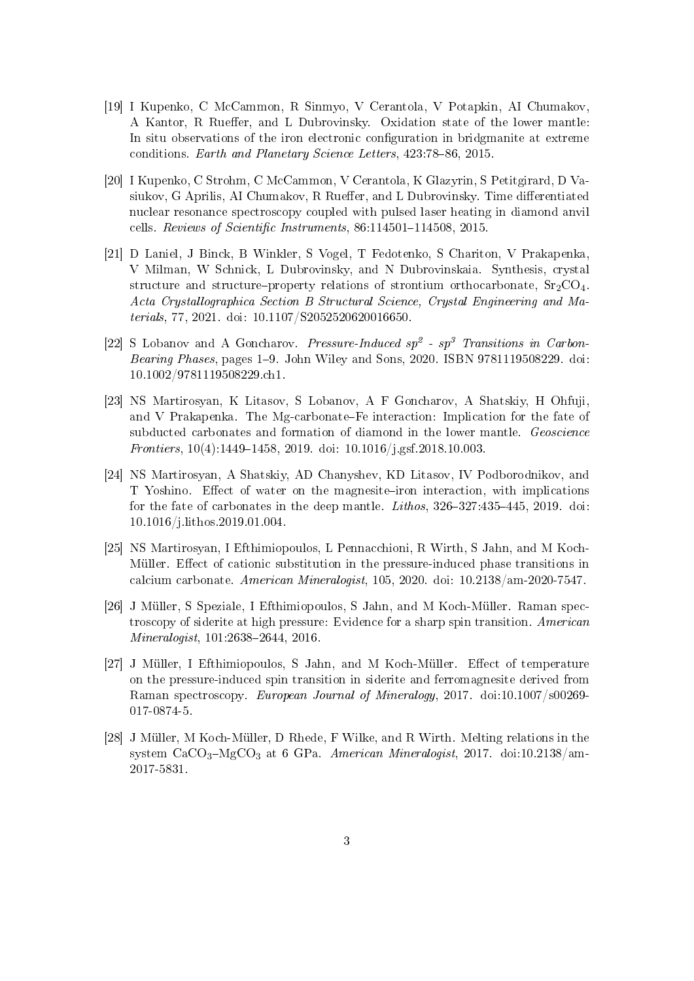- [19] I Kupenko, C McCammon, R Sinmyo, V Cerantola, V Potapkin, AI Chumakov, A Kantor, R Rueffer, and L Dubrovinsky. Oxidation state of the lower mantle: In situ observations of the iron electronic conguration in bridgmanite at extreme conditions. Earth and Planetary Science Letters, 423:78-86, 2015.
- [20] I Kupenko, C Strohm, C McCammon, V Cerantola, K Glazyrin, S Petitgirard, D Vasiukov, G Aprilis, AI Chumakov, R Rueffer, and L Dubrovinsky. Time differentiated nuclear resonance spectroscopy coupled with pulsed laser heating in diamond anvil cells. Reviews of Scientific Instruments,  $86:114501-114508$ ,  $2015$ .
- [21] D Laniel, J Binck, B Winkler, S Vogel, T Fedotenko, S Chariton, V Prakapenka, V Milman, W Schnick, L Dubrovinsky, and N Dubrovinskaia. Synthesis, crystal structure and structure-property relations of strontium orthocarbonate,  $Sr_2CO_4$ . Acta Crystallographica Section B Structural Science, Crystal Engineering and Materials, 77, 2021. doi: 10.1107/S2052520620016650.
- [22] S Lobanov and A Goncharov. Pressure-Induced  $sp^2$   $sp^3$  Transitions in Carbon-Bearing Phases, pages 1–9. John Wiley and Sons, 2020. ISBN 9781119508229. doi: 10.1002/9781119508229.ch1.
- [23] NS Martirosyan, K Litasov, S Lobanov, A F Goncharov, A Shatskiy, H Ohfuji, and V Prakapenka. The Mg-carbonate–Fe interaction: Implication for the fate of subducted carbonates and formation of diamond in the lower mantle. Geoscience Frontiers,  $10(4)$ :1449-1458, 2019. doi:  $10.1016/j$ .gsf.2018.10.003.
- [24] NS Martirosyan, A Shatskiy, AD Chanyshev, KD Litasov, IV Podborodnikov, and T Yoshino. Effect of water on the magnesite-iron interaction, with implications for the fate of carbonates in the deep mantle. *Lithos*,  $326-327:435-445$ , 2019. doi: 10.1016/j.lithos.2019.01.004.
- [25] NS Martirosyan, I Efthimiopoulos, L Pennacchioni, R Wirth, S Jahn, and M Koch-Müller. Effect of cationic substitution in the pressure-induced phase transitions in calcium carbonate. American Mineralogist, 105, 2020. doi: 10.2138/am-2020-7547.
- [26] J Müller, S Speziale, I Efthimiopoulos, S Jahn, and M Koch-Müller. Raman spectroscopy of siderite at high pressure: Evidence for a sharp spin transition. American  $Mineralogist, 101:2638-2644, 2016.$
- [27] J Müller, I Efthimiopoulos, S Jahn, and M Koch-Müller. Effect of temperature on the pressure-induced spin transition in siderite and ferromagnesite derived from Raman spectroscopy. European Journal of Mineralogy, 2017. doi:10.1007/s00269- 017-0874-5.
- [28] J Müller, M Koch-Müller, D Rhede, F Wilke, and R Wirth. Melting relations in the system  $CaCO<sub>3</sub>-MgCO<sub>3</sub>$  at 6 GPa. American Mineralogist, 2017. doi:10.2138/am-2017-5831.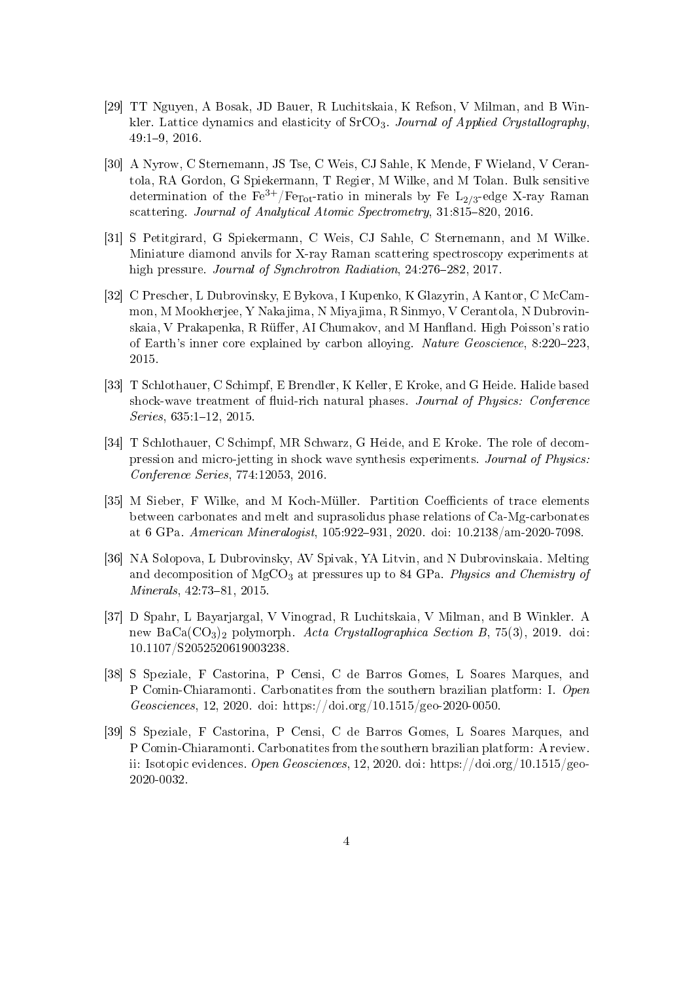- [29] TT Nguyen, A Bosak, JD Bauer, R Luchitskaia, K Refson, V Milman, and B Winkler. Lattice dynamics and elasticity of  $S<sub>r</sub>CO<sub>3</sub>$ . Journal of Applied Crystallography, 49:19, 2016.
- [30] A Nyrow, C Sternemann, JS Tse, C Weis, CJ Sahle, K Mende, F Wieland, V Cerantola, RA Gordon, G Spiekermann, T Regier, M Wilke, and M Tolan. Bulk sensitive determination of the  $\rm Fe^{3+}/Fe_{Tot}$ -ratio in minerals by Fe  $\rm L_{2/3}$ -edge X-ray Raman scattering. Journal of Analytical Atomic Spectrometry,  $31:815-820$ ,  $2016$ .
- [31] S Petitgirard, G Spiekermann, C Weis, CJ Sahle, C Sternemann, and M Wilke. Miniature diamond anvils for X-ray Raman scattering spectroscopy experiments at high pressure. Journal of Synchrotron Radiation, 24:276-282, 2017.
- [32] C Prescher, L Dubrovinsky, E Bykova, I Kupenko, K Glazyrin, A Kantor, C McCammon, M Mookherjee, Y Nakajima, N Miyajima, R Sinmyo, V Cerantola, N Dubrovinskaia, V Prakapenka, R Rüffer, AI Chumakov, and M Hanfland. High Poisson's ratio of Earth's inner core explained by carbon alloying. Nature  $Geoscience$ ,  $8:220-223$ , 2015.
- [33] T Schlothauer, C Schimpf, E Brendler, K Keller, E Kroke, and G Heide. Halide based shock-wave treatment of fluid-rich natural phases. Journal of Physics: Conference  $Series, 635:1-12, 2015.$
- [34] T Schlothauer, C Schimpf, MR Schwarz, G Heide, and E Kroke. The role of decompression and micro-jetting in shock wave synthesis experiments. Journal of Physics: Conference Series, 774:12053, 2016.
- [35] M Sieber, F Wilke, and M Koch-Müller. Partition Coefficients of trace elements between carbonates and melt and suprasolidus phase relations of Ca-Mg-carbonates at 6 GPa. American Mineralogist, 105:922-931, 2020. doi: 10.2138/am-2020-7098.
- [36] NA Solopova, L Dubrovinsky, AV Spivak, YA Litvin, and N Dubrovinskaia. Melting and decomposition of  $MgCO<sub>3</sub>$  at pressures up to 84 GPa. Physics and Chemistry of  $Minerals, 42:73-81, 2015.$
- [37] D Spahr, L Bayarjargal, V Vinograd, R Luchitskaia, V Milman, and B Winkler. A new Ba $Ca(CO<sub>3</sub>)<sub>2</sub>$  polymorph. Acta Crystallographica Section B, 75(3), 2019. doi: 10.1107/S2052520619003238.
- [38] S Speziale, F Castorina, P Censi, C de Barros Gomes, L Soares Marques, and P Comin-Chiaramonti. Carbonatites from the southern brazilian platform: I. Open Geosciences, 12, 2020. doi: https://doi.org/10.1515/geo-2020-0050.
- [39] S Speziale, F Castorina, P Censi, C de Barros Gomes, L Soares Marques, and P Comin-Chiaramonti. Carbonatites from the southern brazilian platform: A review. ii: Isotopic evidences. Open Geosciences, 12, 2020. doi: https://doi.org/10.1515/geo-2020-0032.